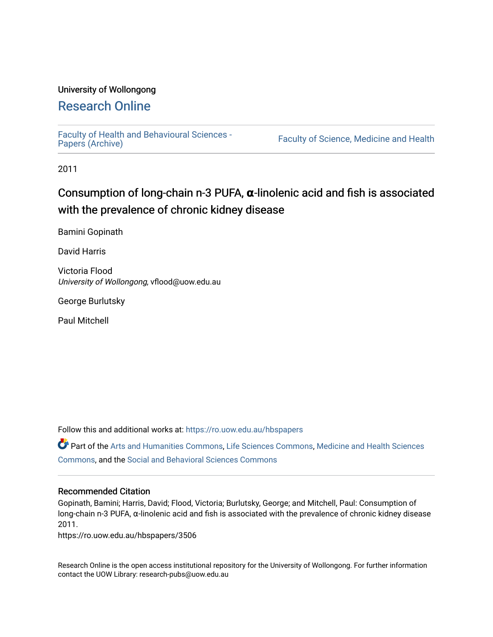## University of Wollongong

# [Research Online](https://ro.uow.edu.au/)

[Faculty of Health and Behavioural Sciences -](https://ro.uow.edu.au/hbspapers)<br>Papers (Archive)

Faculty of Science, Medicine and Health

2011

# Consumption of long-chain n-3 PUFA, **α**-linolenic acid and fish is associated with the prevalence of chronic kidney disease

Bamini Gopinath

David Harris

Victoria Flood University of Wollongong, vflood@uow.edu.au

George Burlutsky

Paul Mitchell

Follow this and additional works at: [https://ro.uow.edu.au/hbspapers](https://ro.uow.edu.au/hbspapers?utm_source=ro.uow.edu.au%2Fhbspapers%2F3506&utm_medium=PDF&utm_campaign=PDFCoverPages) 

Part of the [Arts and Humanities Commons,](http://network.bepress.com/hgg/discipline/438?utm_source=ro.uow.edu.au%2Fhbspapers%2F3506&utm_medium=PDF&utm_campaign=PDFCoverPages) [Life Sciences Commons,](http://network.bepress.com/hgg/discipline/1016?utm_source=ro.uow.edu.au%2Fhbspapers%2F3506&utm_medium=PDF&utm_campaign=PDFCoverPages) [Medicine and Health Sciences](http://network.bepress.com/hgg/discipline/648?utm_source=ro.uow.edu.au%2Fhbspapers%2F3506&utm_medium=PDF&utm_campaign=PDFCoverPages) [Commons](http://network.bepress.com/hgg/discipline/648?utm_source=ro.uow.edu.au%2Fhbspapers%2F3506&utm_medium=PDF&utm_campaign=PDFCoverPages), and the [Social and Behavioral Sciences Commons](http://network.bepress.com/hgg/discipline/316?utm_source=ro.uow.edu.au%2Fhbspapers%2F3506&utm_medium=PDF&utm_campaign=PDFCoverPages)

## Recommended Citation

Gopinath, Bamini; Harris, David; Flood, Victoria; Burlutsky, George; and Mitchell, Paul: Consumption of long-chain n-3 PUFA, α-linolenic acid and fish is associated with the prevalence of chronic kidney disease 2011.

https://ro.uow.edu.au/hbspapers/3506

Research Online is the open access institutional repository for the University of Wollongong. For further information contact the UOW Library: research-pubs@uow.edu.au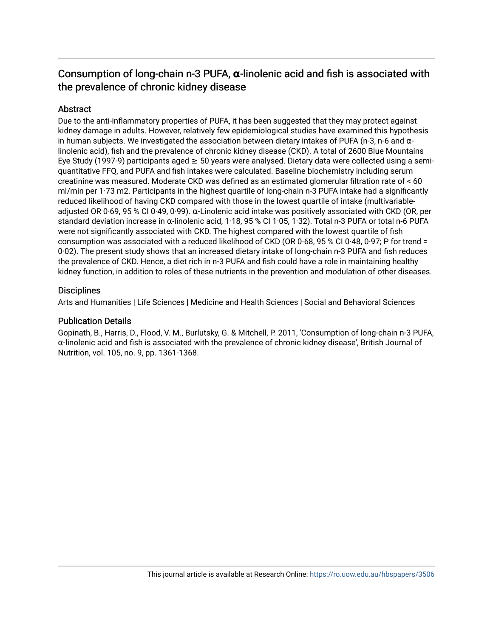# Consumption of long-chain n-3 PUFA, **α**-linolenic acid and fish is associated with the prevalence of chronic kidney disease

## **Abstract**

Due to the anti-inflammatory properties of PUFA, it has been suggested that they may protect against kidney damage in adults. However, relatively few epidemiological studies have examined this hypothesis in human subjects. We investigated the association between dietary intakes of PUFA (n-3, n-6 and  $\alpha$ linolenic acid), fish and the prevalence of chronic kidney disease (CKD). A total of 2600 Blue Mountains Eye Study (1997-9) participants aged  $\geq$  50 years were analysed. Dietary data were collected using a semiquantitative FFQ, and PUFA and fish intakes were calculated. Baseline biochemistry including serum creatinine was measured. Moderate CKD was defined as an estimated glomerular filtration rate of < 60 ml/min per 1·73 m2. Participants in the highest quartile of long-chain n-3 PUFA intake had a significantly reduced likelihood of having CKD compared with those in the lowest quartile of intake (multivariableadjusted OR 0·69, 95 % CI 0·49, 0·99). α-Linolenic acid intake was positively associated with CKD (OR, per standard deviation increase in α-linolenic acid, 1·18, 95 % CI 1·05, 1·32). Total n-3 PUFA or total n-6 PUFA were not significantly associated with CKD. The highest compared with the lowest quartile of fish consumption was associated with a reduced likelihood of CKD (OR  $0.68$ , 95 % CI 0.48, 0.97; P for trend = 0·02). The present study shows that an increased dietary intake of long-chain n-3 PUFA and fish reduces the prevalence of CKD. Hence, a diet rich in n-3 PUFA and fish could have a role in maintaining healthy kidney function, in addition to roles of these nutrients in the prevention and modulation of other diseases.

## **Disciplines**

Arts and Humanities | Life Sciences | Medicine and Health Sciences | Social and Behavioral Sciences

## Publication Details

Gopinath, B., Harris, D., Flood, V. M., Burlutsky, G. & Mitchell, P. 2011, 'Consumption of long-chain n-3 PUFA, α-linolenic acid and fish is associated with the prevalence of chronic kidney disease', British Journal of Nutrition, vol. 105, no. 9, pp. 1361-1368.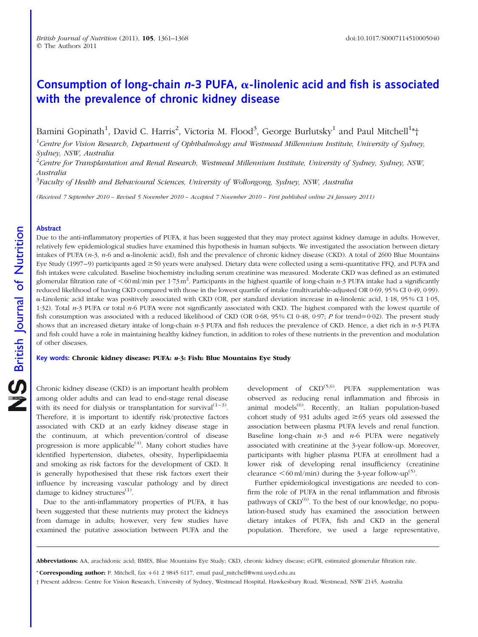# Consumption of long-chain  $n-3$  PUFA,  $\alpha$ -linolenic acid and fish is associated with the prevalence of chronic kidney disease

Bamini Gopinath<sup>1</sup>, David C. Harris<sup>2</sup>, Victoria M. Flood<sup>3</sup>, George Burlutsky<sup>1</sup> and Paul Mitchell<sup>1</sup>\*†

<sup>1</sup>Centre for Vision Research, Department of Ophthalmology and Westmead Millennium Institute, University of Sydney, Sydney, NSW, Australia

 $^{2}$ Centre for Transplantation and Renal Research, Westmead Millennium Institute, University of Sydney, Sydney, NSW, Australia

<sup>3</sup>Faculty of Health and Behavioural Sciences, University of Wollongong, Sydney, NSW, Australia

(Received 7 September 2010 – Revised 5 November 2010 – Accepted 7 November 2010 – First published online 24 January 2011)

### Abstract

Due to the anti-inflammatory properties of PUFA, it has been suggested that they may protect against kidney damage in adults. However, relatively few epidemiological studies have examined this hypothesis in human subjects. We investigated the association between dietary intakes of PUFA  $(n-3, n-6)$  and  $\alpha$ -linolenic acid), fish and the prevalence of chronic kidney disease (CKD). A total of 2600 Blue Mountains Eye Study (1997–9) participants aged  $\geq$  50 years were analysed. Dietary data were collected using a semi-quantitative FFQ, and PUFA and fish intakes were calculated. Baseline biochemistry including serum creatinine was measured. Moderate CKD was defined as an estimated glomerular filtration rate of  $\leq 60$  ml/min per 1·73 m<sup>2</sup>. Participants in the highest quartile of long-chain *n*-3 PUFA intake had a significantly reduced likelihood of having CKD compared with those in the lowest quartile of intake (multivariable-adjusted OR 0·69, 95 % CI 0·49, 0·99).  $\alpha$ -Linolenic acid intake was positively associated with CKD (OR, per standard deviation increase in  $\alpha$ -linolenic acid, 1·18, 95 % CI 1·05, 1.32). Total  $n-3$  PUFA or total  $n-6$  PUFA were not significantly associated with CKD. The highest compared with the lowest quartile of fish consumption was associated with a reduced likelihood of CKD (OR  $0.68$ ,  $95\%$  CI  $0.48$ ,  $0.97$ ; P for trend=0.02). The present study shows that an increased dietary intake of long-chain n-3 PUFA and fish reduces the prevalence of CKD. Hence, a diet rich in n-3 PUFA and fish could have a role in maintaining healthy kidney function, in addition to roles of these nutrients in the prevention and modulation of other diseases.

#### Key words: Chronic kidney disease: PUFA: *n*-3: Fish: Blue Mountains Eye Study

Chronic kidney disease (CKD) is an important health problem among older adults and can lead to end-stage renal disease with its need for dialysis or transplantation for survival<sup> $(1-3)$ </sup>. Therefore, it is important to identify risk/protective factors associated with CKD at an early kidney disease stage in the continuum, at which prevention/control of disease progression is more applicable<sup> $(4)$ </sup>. Many cohort studies have identified hypertension, diabetes, obesity, hyperlipidaemia and smoking as risk factors for the development of CKD. It is generally hypothesised that these risk factors exert their influence by increasing vascular pathology and by direct damage to kidney structures $<sup>(1)</sup>$ .</sup>

Due to the anti-inflammatory properties of PUFA, it has been suggested that these nutrients may protect the kidneys from damage in adults; however, very few studies have examined the putative association between PUFA and the

development of  $CKD^{(5,6)}$ . PUFA supplementation was observed as reducing renal inflammation and fibrosis in animal models $^{(6)}$ . Recently, an Italian population-based cohort study of 931 adults aged  $\geq$  65 years old assessed the association between plasma PUFA levels and renal function. Baseline long-chain  $n-3$  and  $n-6$  PUFA were negatively associated with creatinine at the 3-year follow-up. Moreover, participants with higher plasma PUFA at enrollment had a lower risk of developing renal insufficiency (creatinine clearance  $\leq 60$  ml/min) during the 3-year follow-up<sup>(5)</sup>.

Further epidemiological investigations are needed to confirm the role of PUFA in the renal inflammation and fibrosis pathways of CKD<sup>(6)</sup>. To the best of our knowledge, no population-based study has examined the association between dietary intakes of PUFA, fish and CKD in the general population. Therefore, we used a large representative,

\* Corresponding author: P. Mitchell, fax +61 2 9845 6117, email paul\_mitchell@wmi.usyd.edu.au

Abbreviations: AA, arachidonic acid; BMES, Blue Mountains Eye Study; CKD, chronic kidney disease; eGFR, estimated glomerular filtration rate.

<sup>†</sup> Present address: Centre for Vision Research, University of Sydney, Westmead Hospital, Hawkesbury Road, Westmead, NSW 2145, Australia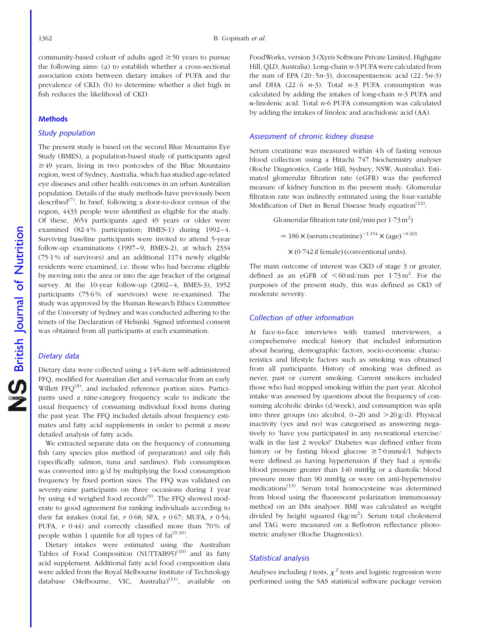community-based cohort of adults aged  $\geq$  50 years to pursue the following aims: (a) to establish whether a cross-sectional association exists between dietary intakes of PUFA and the prevalence of CKD; (b) to determine whether a diet high in fish reduces the likelihood of CKD.

#### **Methods**

### Study population

The present study is based on the second Blue Mountains Eye Study (BMES), a population-based study of participants aged  $\geq$  49 years, living in two postcodes of the Blue Mountains region, west of Sydney, Australia, which has studied age-related eye diseases and other health outcomes in an urban Australian population. Details of the study methods have previously been described<sup> $(7)$ </sup>. In brief, following a door-to-door census of the region, 4433 people were identified as eligible for the study. Of these, 3654 participants aged 49 years or older were examined (82·4 % participation; BMES-1) during 1992–4. Surviving baseline participants were invited to attend 5-year follow-up examinations (1997–9, BMES-2), at which 2334 (75·1 % of survivors) and an additional 1174 newly eligible residents were examined, i.e. those who had become eligible by moving into the area or into the age bracket of the original survey. At the 10-year follow-up (2002–4, BMES-3), 1952 participants (75.6% of survivors) were re-examined. The study was approved by the Human Research Ethics Committee of the University of Sydney and was conducted adhering to the tenets of the Declaration of Helsinki. Signed informed consent was obtained from all participants at each examination.

#### Dietary data

Dietary data were collected using a 145-item self-administered FFQ, modified for Australian diet and vernacular from an early Willett FFQ<sup>(8)</sup>, and included reference portion sizes. Participants used a nine-category frequency scale to indicate the usual frequency of consuming individual food items during the past year. The FFQ included details about frequency estimates and fatty acid supplements in order to permit a more detailed analysis of fatty acids.

We extracted separate data on the frequency of consuming fish (any species plus method of preparation) and oily fish (specifically salmon, tuna and sardines). Fish consumption was converted into g/d by multiplying the food consumption frequency by fixed portion sizes. The FFQ was validated on seventy-nine participants on three occasions during 1 year by using  $4d$  weighed food records<sup> $(9)$ </sup>. The FFQ showed moderate to good agreement for ranking individuals according to their fat intakes (total fat,  $r$  0·68; SFA,  $r$  0·67; MUFA,  $r$  0·54; PUFA,  $r$  0.44) and correctly classified more than 70% of people within 1 quintile for all types of  $fat^{(9,10)}$ .

Dietary intakes were estimated using the Australian Tables of Food Composition  $(NUTTAB95)^{(10)}$  and its fatty acid supplement. Additional fatty acid food composition data were added from the Royal Melbourne Institute of Technology database (Melbourne, VIC, Australia)<sup>(11)</sup>, available on

FoodWorks, version 3 (Xyris Software Private Limited, Highgate Hill, QLD, Australia). Long-chain n-3 PUFA were calculated from the sum of EPA  $(20:5n-3)$ , docosapentaenoic acid  $(22:5n-3)$ and DHA (22:6  $n-3$ ). Total  $n-3$  PUFA consumption was calculated by adding the intakes of long-chain  $n-3$  PUFA and  $\alpha$ -linolenic acid. Total *n*-6 PUFA consumption was calculated by adding the intakes of linoleic and arachidonic acid (AA).

### Assessment of chronic kidney disease

Serum creatinine was measured within 4 h of fasting venous blood collection using a Hitachi 747 biochemistry analyser (Roche Diagnostics, Castle Hill, Sydney, NSW, Australia). Estimated glomerular filtration rate (eGFR) was the preferred measure of kidney function in the present study. Glomerular filtration rate was indirectly estimated using the four-variable Modification of Diet in Renal Disease Study equation<sup> $(12)$ </sup>:

Glomerular filtration rate (ml/min per  $1.73$  m<sup>2</sup>)

 $= 186 \times ($ serum creatinine $)^{-1.154} \times (age)^{-0.203}$ 

 $\times$  (0.742 if female) (conventional units).

The main outcome of interest was CKD of stage 3 or greater, defined as an eGFR of  $\leq 60$  ml/min per 1.73 m<sup>2</sup>. For the purposes of the present study, this was defined as CKD of moderate severity.

#### Collection of other information

At face-to-face interviews with trained interviewers, a comprehensive medical history that included information about hearing, demographic factors, socio-economic characteristics and lifestyle factors such as smoking was obtained from all participants. History of smoking was defined as never, past or current smoking. Current smokers included those who had stopped smoking within the past year. Alcohol intake was assessed by questions about the frequency of consuming alcoholic drinks (d/week), and consumption was split into three groups (no alcohol,  $0-20$  and  $> 20$  g/d). Physical inactivity (yes and no) was categorised as answering negatively to 'have you participated in any recreational exercise/ walk in the last 2 weeks?' Diabetes was defined either from history or by fasting blood glucose  $\geq 7.0$  mmol/l. Subjects were defined as having hypertension if they had a systolic blood pressure greater than 140 mmHg or a diastolic blood pressure more than 90 mmHg or were on anti-hypertensive  $\overline{\text{medications}}^{(13)}$ . Serum total homocysteine was determined from blood using the fluorescent polarization immunoassay method on an IMx analyser. BMI was calculated as weight divided by height squared  $(kg/m^2)$ . Serum total cholesterol and TAG were measured on a Reflotron reflectance photometric analyser (Roche Diagnostics).

#### Statistical analysis

Analyses including t tests,  $\chi^2$  tests and logistic regression were performed using the SAS statistical software package version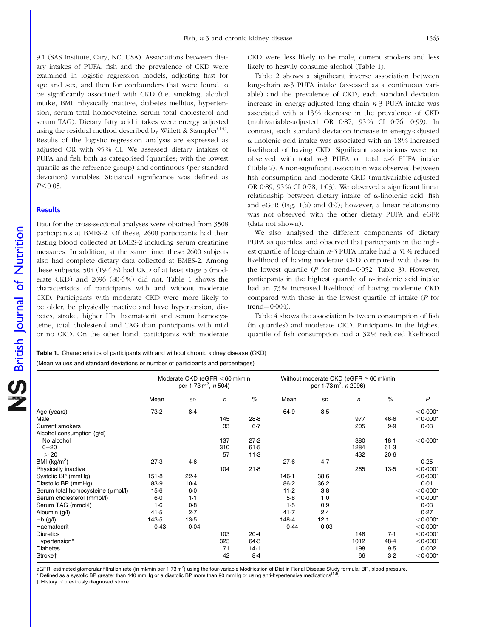9.1 (SAS Institute, Cary, NC, USA). Associations between dietary intakes of PUFA, fish and the prevalence of CKD were examined in logistic regression models, adjusting first for age and sex, and then for confounders that were found to be significantly associated with CKD (i.e. smoking, alcohol intake, BMI, physically inactive, diabetes mellitus, hypertension, serum total homocysteine, serum total cholesterol and serum TAG). Dietary fatty acid intakes were energy adjusted using the residual method described by Willett & Stampfer<sup>(14)</sup>. Results of the logistic regression analysis are expressed as adjusted OR with 95 % CI. We assessed dietary intakes of PUFA and fish both as categorised (quartiles; with the lowest quartile as the reference group) and continuous (per standard deviation) variables. Statistical significance was defined as  $P < 0.05$ .

#### **Results**

Data for the cross-sectional analyses were obtained from 3508 participants at BMES-2. Of these, 2600 participants had their fasting blood collected at BMES-2 including serum creatinine measures. In addition, at the same time, these 2600 subjects also had complete dietary data collected at BMES-2. Among these subjects, 504 (19·4 %) had CKD of at least stage 3 (moderate CKD) and 2096 (80·6 %) did not. Table 1 shows the characteristics of participants with and without moderate CKD. Participants with moderate CKD were more likely to be older, be physically inactive and have hypertension, diabetes, stroke, higher Hb, haematocrit and serum homocysteine, total cholesterol and TAG than participants with mild or no CKD. On the other hand, participants with moderate

CKD were less likely to be male, current smokers and less likely to heavily consume alcohol (Table 1).

[Table 2](#page-5-0) shows a significant inverse association between long-chain n-3 PUFA intake (assessed as a continuous variable) and the prevalence of CKD; each standard deviation increase in energy-adjusted long-chain  $n-3$  PUFA intake was associated with a 13 % decrease in the prevalence of CKD (multivariable-adjusted OR 0·87, 95 % CI 0·76, 0·99). In contrast, each standard deviation increase in energy-adjusted  $\alpha$ -linolenic acid intake was associated with an 18% increased likelihood of having CKD. Significant associations were not observed with total  $n-3$  PUFA or total  $n-6$  PUFA intake ([Table 2\)](#page-5-0). A non-significant association was observed between fish consumption and moderate CKD (multivariable-adjusted OR 0·89, 95 % CI 0·78, 1·03). We observed a significant linear relationship between dietary intake of  $\alpha$ -linolenic acid, fish and eGFR [\(Fig. 1\(a\) and \(b\)\)](#page-5-0); however, a linear relationship was not observed with the other dietary PUFA and eGFR (data not shown).

We also analysed the different components of dietary PUFA as quartiles, and observed that participants in the highest quartile of long-chain n-3 PUFA intake had a 31 % reduced likelihood of having moderate CKD compared with those in the lowest quartile ( $P$  for trend=0.052; [Table 3](#page-6-0)). However, participants in the highest quartile of  $\alpha$ -linolenic acid intake had an 73 % increased likelihood of having moderate CKD compared with those in the lowest quartile of intake (P for trend $=0.004$ ).

[Table 4](#page-6-0) shows the association between consumption of fish (in quartiles) and moderate CKD. Participants in the highest quartile of fish consumption had a 32 % reduced likelihood

> Without moderate CKD ( $e$ GFR  $>$  60 ml/min per 1·73 m<sup>2</sup>, *n* 2096)

Mean sp *n* % Mean sp *n* % *P* 

Table 1. Characteristics of participants with and without chronic kidney disease (CKD) (Mean values and standard deviations or number of participants and percentages)

| Serum cholesterol (mmol/l) | $6-0$ | 1.1  |     |        | $5-8$ | 1.0  |      |      | < 0.0001 |
|----------------------------|-------|------|-----|--------|-------|------|------|------|----------|
| Serum TAG (mmol/l)         | 1·6   | 0.8  |     |        | 1.5   | 0.9  |      |      | 0.03     |
| Albumin (g/l)              | 41.5  | 2.7  |     |        | 41.7  | 2.4  |      |      | 0.27     |
| $Hb$ (g/l)                 | 143.5 | 13.5 |     |        | 148.4 | 12.1 |      |      | < 0.0001 |
| Haematocrit                | 0.43  | 0.04 |     |        | 0.44  | 0.03 |      |      | < 0.0001 |
| <b>Diuretics</b>           |       |      | 103 | $20-4$ |       |      | 148  | 7.1  | < 0.0001 |
| Hypertension*              |       |      | 323 | 64.3   |       |      | 1012 | 48.4 | < 0.0001 |
| <b>Diabetes</b>            |       |      | 71  | 14-1   |       |      | 198  | 9.5  | 0.002    |
| Stroke <sup>+</sup>        |       |      | 42  | $8-4$  |       |      | 66   | 3.2  | < 0.0001 |

Age (years) 73·2 8·4 64·9 8·5 <0·0001 Male 145 28·8 977 46·6 <0·0001 - 145 28·8 977 960 977 46·6  $\times$ 0·0001 Current smokers 33 6·7 205 9·9 0·03

No alcohol 137 27·2 380 18·1 ,0·0001

) 27·3 4·6 27·6 4·7 0·25 Physically inactive 105 151-8 104 21-8 265 13-5 (0-0001<br>104 21-8 146-1 28-6 265 13-5 <0-0001 Systolic BP (mmHg)  $151.8$  22.4  $146.1$  38.6  $< 0.0001$ Diastolic BP (mmHg) 83-9 10-4 86-2 36-2 0-01 Serum total homocysteine (umol/l) 15-6 6.0 11-2 3.8 60 (0.0001

0–20 310 61·5 1284 61·3  $>$  20 300  $>$  20 $\sim$  20 $\sim$  57  $\sim$  11 $\cdot$ 3  $\sim$  432  $\sim$  20 $\cdot$ 6

eGFR, estimated glomerular filtration rate (in ml/min per 1-73 m<sup>2</sup>) using the four-variable Modification of Diet in Renal Disease Study formula; BP, blood pressure.

Moderate CKD (eGFR  $< 60$  ml/min per 1.73 m<sup>2</sup>, *n* 504)

Defined as a systolic BP greater than 140 mmHg or a diastolic BP more than 90 mmHg or using anti-hypertensive medications<sup>(13)</sup>

† History of previously diagnosed stroke.

Alcohol consumption (g/d)

BMI  $(kg/m<sup>2</sup>)$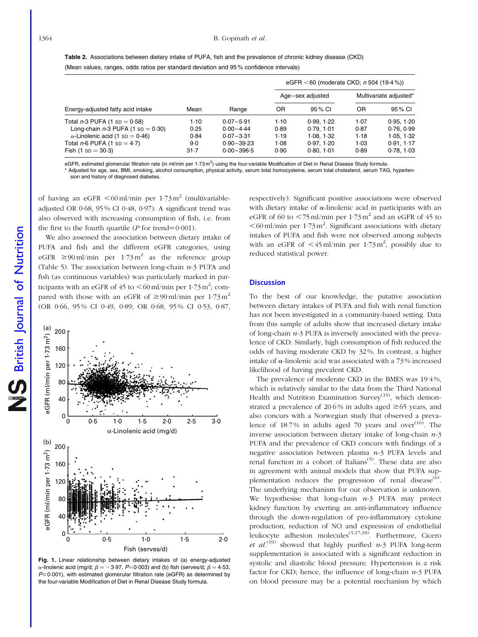#### <span id="page-5-0"></span>1364 B. Gopinath et al.

| <b>Table 2.</b> Associations between dietary intake of PUFA, fish and the prevalence of chronic kidney disease (CKD) |
|----------------------------------------------------------------------------------------------------------------------|
| (Mean values, ranges, odds ratios per standard deviation and 95% confidence intervals)                               |

|                                        |       |                |      | eGFR < 60 (moderate CKD; $n$ 504 (19.4%)) |                        |            |  |  |
|----------------------------------------|-------|----------------|------|-------------------------------------------|------------------------|------------|--|--|
|                                        |       |                |      | Age-sex adjusted                          | Multivariate adjusted* |            |  |  |
| Energy-adjusted fatty acid intake      | Mean  | Range          | OR   | 95 % CI                                   | OR                     | 95 % CI    |  |  |
| Total $n-3$ PUFA (1 sp = 0.58)         | 1.10  | $0.07 - 5.91$  | 1.10 | 0.99.1.22                                 | 1.07                   | 0.95.1.20  |  |  |
| Long-chain $n-3$ PUFA (1 sp = 0.30)    | 0.25  | $0.00 - 4.44$  | 0.89 | 0.79.101                                  | 0.87                   | 0.76, 0.99 |  |  |
| $\alpha$ -Linolenic acid (1 sp = 0.46) | 0.84  | $0.07 - 3.31$  | 1.19 | 1.08, 1.32                                | 1.18                   | 1.05, 1.32 |  |  |
| Total $n-6$ PUFA (1 sp = 4.7)          | $9-0$ | $0.90 - 39.23$ | 1.08 | 0.97, 1.20                                | $1-03$                 | 0.91, 1.17 |  |  |
| Fish $(1$ sp = 30.3)                   | 31.7  | $0.00 - 396.5$ | 0.90 | 0.80.1.01                                 | 0.89                   | 0.78, 1.03 |  |  |

eGFR, estimated glomerular filtration rate (in ml/min per 1.73 m<sup>2</sup>) using the four-variable Modification of Diet in Renal Disease Study formula.

Adjusted for age, sex, BMI, smoking, alcohol consumption, physical activity, serum total homocysteine, serum total cholesterol, serum TAG, hypertension and history of diagnosed diabetes.

of having an eGFR  $\leq 60$  ml/min per 1.73 m<sup>2</sup> (multivariableadjusted OR 0·68, 95 % CI 0·48, 0·97). A significant trend was also observed with increasing consumption of fish, i.e. from the first to the fourth quartile ( $P$  for trend=0·001).

We also assessed the association between dietary intake of PUFA and fish and the different eGFR categories, using eGFR  $\geq 90$  ml/min per 1.73 m<sup>2</sup> as the reference group [\(Table 5\)](#page-7-0). The association between long-chain  $n-3$  PUFA and fish (as continuous variables) was particularly marked in participants with an eGFR of 45 to  $\leq 60$  ml/min per 1·73 m<sup>2</sup>; compared with those with an eGFR of  $\geq 90$  ml/min per 1.73 m<sup>2</sup> (OR 0·66, 95 % CI 0·49, 0·89; OR 0·68, 95 % CI 0·53, 0·87,



Fig. 1. Linear relationship between dietary intakes of (a) energy-adjusted  $\alpha$ -linolenic acid (mg/d;  $\beta = -3.97$ , P=0.003) and (b) fish (serves/d;  $\beta = 4.53$ ,  $P \le 0.001$ ), with estimated glomerular filtration rate (eGFR) as determined by the four-variable Modification of Diet in Renal Disease Study formula.

respectively). Significant positive associations were observed with dietary intake of  $\alpha$ -linolenic acid in participants with an eGFR of 60 to  $\lt$  75 ml/min per 1.73 m<sup>2</sup> and an eGFR of 45 to  $<$  60 ml/min per 1 $-73$  m<sup>2</sup>. Significant associations with dietary intakes of PUFA and fish were not observed among subjects with an eGFR of  $\leq 45$  ml/min per 1.73 m<sup>2</sup>, possibly due to reduced statistical power.

#### **Discussion**

To the best of our knowledge, the putative association between dietary intakes of PUFA and fish with renal function has not been investigated in a community-based setting. Data from this sample of adults show that increased dietary intake of long-chain  $n-3$  PUFA is inversely associated with the prevalence of CKD. Similarly, high consumption of fish reduced the odds of having moderate CKD by 32 %. In contrast, a higher intake of  $\alpha$ -linolenic acid was associated with a 73% increased likelihood of having prevalent CKD.

The prevalence of moderate CKD in the BMES was 19·4 %, which is relatively similar to the data from the Third National Health and Nutrition Examination Survey<sup>(15)</sup>, which demonstrated a prevalence of 20.6% in adults aged  $\geq$  65 years, and also concurs with a Norwegian study that observed a prevalence of  $18·7%$  in adults aged  $70$  years and over<sup>(16)</sup>. The inverse association between dietary intake of long-chain  $n-3$ PUFA and the prevalence of CKD concurs with findings of a negative association between plasma  $n-3$  PUFA levels and renal function in a cohort of Italians<sup>(5)</sup>. These data are also in agreement with animal models that show that PUFA supplementation reduces the progression of renal disease<sup>(6)</sup>. The underlying mechanism for our observation is unknown. We hypothesise that long-chain  $n-3$  PUFA may protect kidney function by exerting an anti-inflammatory influence through the down-regulation of pro-inflammatory cytokine production, reduction of NO and expression of endothelial leukocyte adhesion molecules<sup>(5,17,18)</sup>. Furthermore, Cicero et al.<sup>(19)</sup> showed that highly purified n-3 PUFA long-term supplementation is associated with a significant reduction in systolic and diastolic blood pressure. Hypertension is a risk factor for CKD; hence, the influence of long-chain  $n-3$  PUFA on blood pressure may be a potential mechanism by which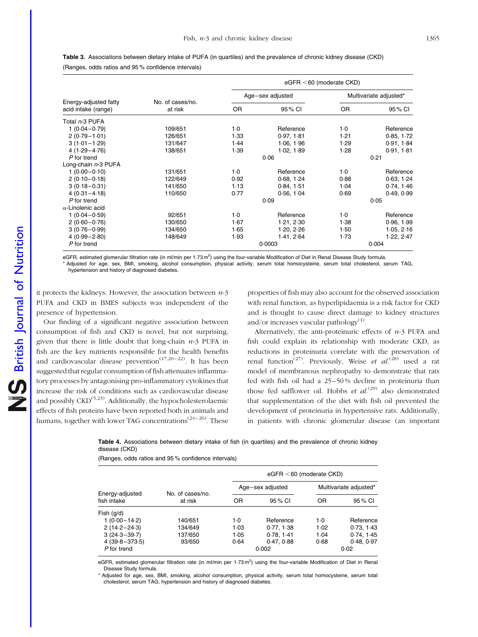| Energy-adjusted fatty<br>acid intake (range) |                             | $eGFR < 60$ (moderate CKD) |                  |                        |            |  |  |  |
|----------------------------------------------|-----------------------------|----------------------------|------------------|------------------------|------------|--|--|--|
|                                              |                             |                            | Age-sex adjusted | Multivariate adjusted* |            |  |  |  |
|                                              | No. of cases/no.<br>at risk | OR.                        | 95 % CI          | <b>OR</b>              | 95 % CI    |  |  |  |
| Total n-3 PUFA                               |                             |                            |                  |                        |            |  |  |  |
| $1(0.04 - 0.79)$                             | 109/651                     | $1-0$                      | Reference        | $1-0$                  | Reference  |  |  |  |
| $2(0.79 - 1.01)$                             | 126/651                     | 1.33                       | 0.97, 1.81       | 1.21                   | 0.85, 1.72 |  |  |  |
| $3(1.01 - 1.29)$                             | 131/647                     | 1.44                       | 1.06, 1.96       | 1.29                   | 0.91, 1.84 |  |  |  |
| $4(1.29 - 4.76)$                             | 138/651                     | 1.39                       | 1.02, 1.89       | 1.28                   | 0.91, 1.81 |  |  |  |
| P for trend                                  |                             |                            | 0.06             |                        | 0.21       |  |  |  |
| Long-chain n-3 PUFA                          |                             |                            |                  |                        |            |  |  |  |
| $1(0.00 - 0.10)$                             | 131/651                     | $1-0$                      | Reference        | $1-0$                  | Reference  |  |  |  |
| $2(0.10 - 0.18)$                             | 122/649                     | 0.92                       | 0.68, 1.24       | 0.88                   | 0.63, 1.24 |  |  |  |
| $3(0.18 - 0.31)$                             | 141/650                     | 1.13                       | 0.84, 1.51       | 1.04                   | 0.74, 1.46 |  |  |  |
| $4(0.31 - 4.18)$                             | 110/650                     | 0.77                       | 0.56, 1.04       | 0.69                   | 0.49, 0.99 |  |  |  |
| P for trend                                  |                             |                            | 0.09             |                        | 0.05       |  |  |  |
| $\alpha$ -Linolenic acid                     |                             |                            |                  |                        |            |  |  |  |
| $1(0.04 - 0.59)$                             | 92/651                      | $1-0$                      | Reference        | $1-0$                  | Reference  |  |  |  |
| $2(0.60 - 0.76)$                             | 130/650                     | 1.67                       | 1.21, 2.30       | 1.38                   | 0.96, 1.99 |  |  |  |
| $3(0.76 - 0.99)$                             | 134/650                     | 1.65                       | 1.20, 2.26       | 1.50                   | 1.05, 2.16 |  |  |  |
| $4(0.99 - 2.80)$                             | 148/649                     | 1.93                       | 1.41, 2.64       | 1.73                   | 1.22, 2.47 |  |  |  |
| P for trend                                  |                             |                            | 0.0003           |                        | 0.004      |  |  |  |

<span id="page-6-0"></span>Table 3. Associations between dietary intake of PUFA (in quartiles) and the prevalence of chronic kidney disease (CKD) (Ranges, odds ratios and 95 % confidence intervals)

eGFR, estimated glomerular filtration rate (in ml/min per 1.73 m<sup>2</sup>) using the four-variable Modification of Diet in Renal Disease Study formula. \* Adjusted for age, sex, BMI, smoking, alcohol consumption, physical activity, serum total homocysteine, serum total cholesterol, serum TAG, hypertension and history of diagnosed diabetes.

it protects the kidneys. However, the association between  $n-3$ PUFA and CKD in BMES subjects was independent of the presence of hypertension.

Our finding of a significant negative association between consumption of fish and CKD is novel, but not surprising, given that there is little doubt that long-chain  $n-3$  PUFA in fish are the key nutrients responsible for the health benefits and cardiovascular disease prevention<sup> $(17,20-22)$ </sup>. It has been suggested that regular consumption of fish attenuates inflammatory processes by antagonising pro-inflammatory cytokines that increase the risk of conditions such as cardiovascular disease and possibly  $\text{CKD}^{(5,23)}$ . Additionally, the hypocholesterolaemic effects of fish proteins have been reported both in animals and humans, together with lower TAG concentrations<sup>(24–26)</sup>. These

properties of fish may also account for the observed association with renal function, as hyperlipidaemia is a risk factor for CKD and is thought to cause direct damage to kidney structures and/or increases vascular pathology $^{(1)}$ .

Alternatively, the anti-proteinuric effects of  $n-3$  PUFA and fish could explain its relationship with moderate CKD, as reductions in proteinuria correlate with the preservation of renal function<sup>(27)</sup>. Previously, Weise et  $al^{(28)}$  used a rat model of membranous nephropathy to demonstrate that rats fed with fish oil had a 25–50 % decline in proteinuria than those fed safflower oil. Hobbs et  $al^{(29)}$  also demonstrated that supplementation of the diet with fish oil prevented the development of proteinuria in hypertensive rats. Additionally, in patients with chronic glomerular disease (an important

Table 4. Associations between dietary intake of fish (in quartiles) and the prevalence of chronic kidney disease (CKD)

(Ranges, odds ratios and 95 % confidence intervals)

|                                | No. of cases/no. | $eGFR < 60$ (moderate CKD) |                  |                        |           |  |  |
|--------------------------------|------------------|----------------------------|------------------|------------------------|-----------|--|--|
|                                |                  |                            | Age-sex adjusted | Multivariate adjusted* |           |  |  |
| Energy-adjusted<br>fish intake | at risk          | OR                         | 95 % CI          | OR                     | 95 % CI   |  |  |
| Fish $(q/d)$                   |                  |                            |                  |                        |           |  |  |
| $1(0.00 - 14.2)$               | 140/651          | $1-0$                      | Reference        | $1-0$                  | Reference |  |  |
| $2(14.2 - 24.3)$               | 134/649          | 1.03                       | 0.77, 1.38       | 1.02                   | 0.73.143  |  |  |
| $3(24.3 - 39.7)$               | 137/650          | 1.05                       | 0.78, 1.41       | 1.04                   | 0.74.145  |  |  |
| $4(39.8 - 373.5)$              | 93/650           | 0.64                       | 0.47, 0.88       | 0.68                   | 0.48.0.97 |  |  |
| P for trend                    |                  |                            | 0.002            |                        | 0.02      |  |  |

eGFR, estimated glomerular filtration rate (in ml/min per 1.73m<sup>2</sup>) using the four-variable Modification of Diet in Renal Disease Study formula.

\* Adjusted for age, sex, BMI, smoking, alcohol consumption, physical activity, serum total homocysteine, serum total cholesterol, serum TAG, hypertension and history of diagnosed diabetes.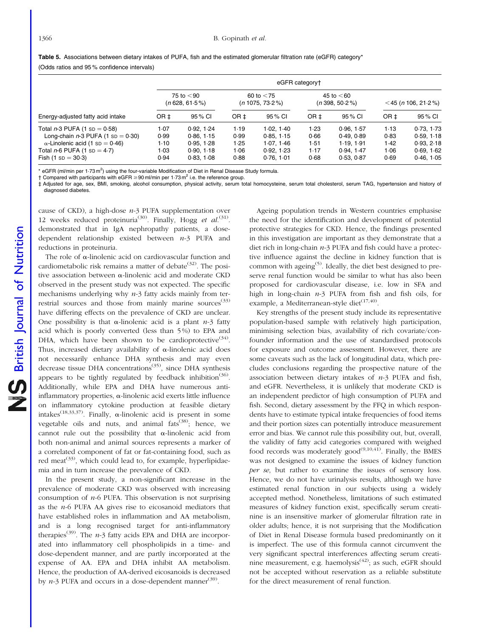<span id="page-7-0"></span>Table 5. Associations between dietary intakes of PUFA, fish and the estimated glomerular filtration rate (eGFR) category\* (Odds ratios and 95 % confidence intervals)

|                                                                                                                 | eGFR category+                   |                                      |                                    |                                      |                                  |                                    |                       |                                     |
|-----------------------------------------------------------------------------------------------------------------|----------------------------------|--------------------------------------|------------------------------------|--------------------------------------|----------------------------------|------------------------------------|-----------------------|-------------------------------------|
|                                                                                                                 | 75 to $<$ 90<br>$(n628, 61.5\%)$ |                                      | 60 to $<$ 75<br>$(n 1075, 73.2\%)$ |                                      | 45 to $<$ 60<br>$(n398, 50.2\%)$ |                                    | $<$ 45 (n 106, 21.2%) |                                     |
| Energy-adjusted fatty acid intake                                                                               | OR ±                             | 95 % CI                              | OR ±                               | 95 % CI                              | OR ±                             | 95 % CI                            | OR <sub>‡</sub>       | 95 % CI                             |
| Total $n-3$ PUFA (1 sp = 0.58)<br>Long-chain $n-3$ PUFA (1 sp = 0.30)<br>$\alpha$ -Linolenic acid (1 sp = 0.46) | 1.07<br>0.99<br>$1-10$           | 0.92.1.24<br>0.86.1.15<br>0.95, 1.28 | 1.19<br>0.99<br>1.25               | 1.02, 1.40<br>0.85, 1.15<br>1.07.146 | $1-23$<br>0.66<br>1.51           | 0.96.1.57<br>0.49.0.89<br>1.19.191 | 1.13<br>0.83<br>1.42  | 0.73.1.73<br>0.59.118<br>0.93, 2.18 |
| Total $n-6$ PUFA (1 sp = 4.7)<br>Fish $(1$ sp = 30.3)                                                           | $1-03$<br>0.94                   | 0.90.118<br>0.83, 1.08               | 1.06<br>0.88                       | 0.92, 1.23<br>0.76, 1.01             | 1.17<br>0.68                     | 0.94.147<br>0.53, 0.87             | 1.06<br>0.69          | 0.69.162<br>0.46, 1.05              |

\* eGFR (ml/min per 1 $\cdot$ 73 m<sup>2</sup>) using the four-variable Modification of Diet in Renal Disease Study formula.

 $\dagger$  Compared with participants with eGFR  $\geq$  90 ml/min per 1.73 m<sup>2</sup> i.e. the reference group.

‡ Adjusted for age, sex, BMI, smoking, alcohol consumption, physical activity, serum total homocysteine, serum total cholesterol, serum TAG, hypertension and history of diagnosed diabetes.

cause of CKD), a high-dose  $n-3$  PUFA supplementation over 12 weeks reduced proteinuria<sup>(30)</sup>. Finally, Hogg et  $al$ .<sup>(31)</sup>. demonstrated that in IgA nephropathy patients, a dosedependent relationship existed between  $n-3$  PUFA and reductions in proteinuria.

The role of  $\alpha$ -linolenic acid on cardiovascular function and cardiometabolic risk remains a matter of debate<sup> $(32)$ </sup>. The positive association between  $\alpha$ -linolenic acid and moderate CKD observed in the present study was not expected. The specific mechanisms underlying why  $n-3$  fatty acids mainly from terrestrial sources and those from mainly marine sources $(33)$ have differing effects on the prevalence of CKD are unclear. One possibility is that  $\alpha$ -linolenic acid is a plant *n*-3 fatty acid which is poorly converted (less than 5 %) to EPA and DHA, which have been shown to be cardioprotective<sup>(34)</sup>. Thus, increased dietary availability of  $\alpha$ -linolenic acid does not necessarily enhance DHA synthesis and may even decrease tissue DHA concentrations<sup> $(35)$ </sup>, since DHA synthesis appears to be tightly regulated by feedback inhibition<sup>(36)</sup>. Additionally, while EPA and DHA have numerous antiinflammatory properties,  $\alpha$ -linolenic acid exerts little influence on inflammatory cytokine production at feasible dietary intakes<sup>(18,33,37)</sup>. Finally,  $\alpha$ -linolenic acid is present in some vegetable oils and nuts, and animal fats<sup>(38)</sup>; hence, we cannot rule out the possibility that  $\alpha$ -linolenic acid from both non-animal and animal sources represents a marker of a correlated component of fat or fat-containing food, such as red meat<sup>(33)</sup>, which could lead to, for example, hyperlipidaemia and in turn increase the prevalence of CKD.

In the present study, a non-significant increase in the prevalence of moderate CKD was observed with increasing consumption of  $n-6$  PUFA. This observation is not surprising as the  $n-6$  PUFA AA gives rise to eicosanoid mediators that have established roles in inflammation and AA metabolism, and is a long recognised target for anti-inflammatory therapies<sup>(39)</sup>. The  $n-3$  fatty acids EPA and DHA are incorporated into inflammatory cell phospholipids in a time- and dose-dependent manner, and are partly incorporated at the expense of AA. EPA and DHA inhibit AA metabolism. Hence, the production of AA-derived eicosanoids is decreased by  $n-3$  PUFA and occurs in a dose-dependent manner<sup>(39)</sup>.

Ageing population trends in Western countries emphasise the need for the identification and development of potential protective strategies for CKD. Hence, the findings presented in this investigation are important as they demonstrate that a diet rich in long-chain  $n-3$  PUFA and fish could have a protective influence against the decline in kidney function that is common with ageing<sup> $(5)$ </sup>. Ideally, the diet best designed to preserve renal function would be similar to what has also been proposed for cardiovascular disease, i.e. low in SFA and high in long-chain n-3 PUFA from fish and fish oils, for example, a Mediterranean-style diet<sup>(17,40)</sup>.

Key strengths of the present study include its representative population-based sample with relatively high participation, minimising selection bias, availability of rich covariate/confounder information and the use of standardised protocols for exposure and outcome assessment. However, there are some caveats such as the lack of longitudinal data, which precludes conclusions regarding the prospective nature of the association between dietary intakes of  $n-3$  PUFA and fish, and eGFR. Nevertheless, it is unlikely that moderate CKD is an independent predictor of high consumption of PUFA and fish. Second, dietary assessment by the FFQ in which respondents have to estimate typical intake frequencies of food items and their portion sizes can potentially introduce measurement error and bias. We cannot rule this possibility out, but, overall, the validity of fatty acid categories compared with weighed food records was moderately  $\text{good}^{(9,10,41)}$ . Finally, the BMES was not designed to examine the issues of kidney function per se, but rather to examine the issues of sensory loss. Hence, we do not have urinalysis results, although we have estimated renal function in our subjects using a widely accepted method. Nonetheless, limitations of such estimated measures of kidney function exist, specifically serum creatinine is an insensitive marker of glomerular filtration rate in older adults; hence, it is not surprising that the Modification of Diet in Renal Disease formula based predominantly on it is imperfect. The use of this formula cannot circumvent the very significant spectral interferences affecting serum creatinine measurement, e.g. haemolysis<sup>(42)</sup>; as such, eGFR should not be accepted without reservation as a reliable substitute for the direct measurement of renal function.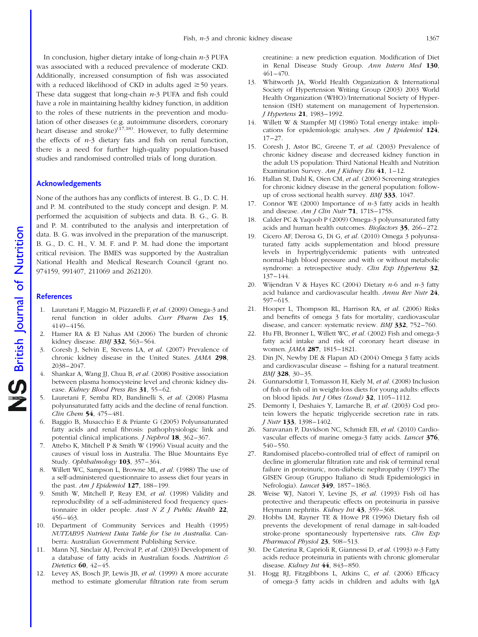In conclusion, higher dietary intake of long-chain  $n-3$  PUFA was associated with a reduced prevalence of moderate CKD. Additionally, increased consumption of fish was associated with a reduced likelihood of CKD in adults aged  $\geq 50$  years. These data suggest that long-chain  $n-3$  PUFA and fish could have a role in maintaining healthy kidney function, in addition to the roles of these nutrients in the prevention and modulation of other diseases (e.g. autoimmune disorders, coronary heart disease and stroke) $(17,18)$ . However, to fully determine the effects of  $n-3$  dietary fats and fish on renal function, there is a need for further high-quality population-based studies and randomised controlled trials of long duration.

### Acknowledgements

None of the authors has any conflicts of interest. B. G., D. C. H. and P. M. contributed to the study concept and design. P. M. performed the acquisition of subjects and data. B. G., G. B. and P. M. contributed to the analysis and interpretation of data. B. G. was involved in the preparation of the manuscript. B. G., D. C. H., V. M. F. and P. M. had done the important critical revision. The BMES was supported by the Australian National Health and Medical Research Council (grant no. 974159, 991407, 211069 and 262120).

#### **References**

- 1. Lauretani F, Maggio M, Pizzarelli F, et al. (2009) Omega-3 and renal function in older adults. Curr Pharm Des 15, 4149–4156.
- 2. Hamer RA & El Nahas AM (2006) The burden of chronic kidney disease. BMJ 332, 563–564.
- 3. Coresh J, Selvin E, Stevens LA, et al. (2007) Prevalence of chronic kidney disease in the United States. JAMA 298, 2038–2047.
- 4. Shankar A, Wang JJ, Chua B, et al. (2008) Positive association between plasma homocysteine level and chronic kidney disease. Kidney Blood Press Res 31, 55–62.
- 5. Lauretani F, Semba RD, Bandinelli S, et al. (2008) Plasma polyunsaturated fatty acids and the decline of renal function. Clin Chem 54, 475–481.
- 6. Baggio B, Musacchio E & Priante G (2005) Polyunsaturated fatty acids and renal fibrosis: pathophysiologic link and potential clinical implications. J Nephrol 18, 362–367.
- 7. Attebo K, Mitchell P & Smith W (1996) Visual acuity and the causes of visual loss in Australia. The Blue Mountains Eye Study. Ophthalmology 103, 357–364.
- 8. Willett WC, Sampson L, Browne ML, et al. (1988) The use of a self-administered questionnaire to assess diet four years in the past. Am *I Epidemiol*  $127$ ,  $188-199$ .
- 9. Smith W, Mitchell P, Reay EM, et al. (1998) Validity and reproducibility of a self-administered food frequency questionnaire in older people. Aust  $N Z J$  Public Health 22, 456–463.
- 10. Department of Community Services and Health (1995) NUTTAB95 Nutrient Data Table for Use in Australia. Canberra: Australian Government Publishing Service.
- 11. Mann NJ, Sinclair AJ, Percival P, et al. (2003) Development of a database of fatty acids in Australian foods. Nutrition & Dietetics 60, 42–45.
- 12. Levey AS, Bosch JP, Lewis JB, et al. (1999) A more accurate method to estimate glomerular filtration rate from serum

creatinine: a new prediction equation. Modification of Diet in Renal Disease Study Group. Ann Intern Med 130, 461–470.

- 13. Whitworth JA, World Health Organization & International Society of Hypertension Writing Group (2003) 2003 World Health Organization (WHO)/International Society of Hypertension (ISH) statement on management of hypertension. J Hypertens 21, 1983–1992.
- 14. Willett W & Stampfer MJ (1986) Total energy intake: implications for epidemiologic analyses. Am J Epidemiol 124, 17–27.
- 15. Coresh J, Astor BC, Greene T, et al. (2003) Prevalence of chronic kidney disease and decreased kidney function in the adult US population: Third National Health and Nutrition Examination Survey. Am J Kidney Dis  $41$ , 1-12.
- 16. Hallan SI, Dahl K, Oien CM, et al. (2006) Screening strategies for chronic kidney disease in the general population: followup of cross sectional health survey. BMJ 333, 1047.
- 17. Connor WE (2000) Importance of  $n-3$  fatty acids in health and disease. Am J Clin Nutr  $71$ , 1718-1758.
- 18. Calder PC & Yaqoob P (2009) Omega-3 polyunsaturated fatty acids and human health outcomes. Biofactors 35, 266–272.
- 19. Cicero AF, Derosa G, Di G, et al. (2010) Omega 3 polyunsaturated fatty acids supplementation and blood pressure levels in hypertriglyceridemic patients with untreated normal-high blood pressure and with or without metabolic syndrome: a retrospective study. Clin Exp Hypertens 32, 137–144.
- 20. Wijendran V & Hayes KC (2004) Dietary  $n-6$  and  $n-3$  fatty acid balance and cardiovascular health. Annu Rev Nutr 24, 597–615.
- 21. Hooper L, Thompson RL, Harrison RA, et al. (2006) Risks and benefits of omega 3 fats for mortality, cardiovascular disease, and cancer: systematic review. BMJ 332, 752–760.
- 22. Hu FB, Bronner L, Willett WC, et al. (2002) Fish and omega-3 fatty acid intake and risk of coronary heart disease in women. *JAMA* 287, 1815–1821.
- 23. Din JN, Newby DE & Flapan AD (2004) Omega 3 fatty acids and cardiovascular disease – fishing for a natural treatment. BMJ 328, 30-35.
- 24. Gunnarsdottir I, Tomasson H, Kiely M, et al. (2008) Inclusion of fish or fish oil in weight-loss diets for young adults: effects on blood lipids. Int J Obes (Lond) 32, 1105–1112.
- 25. Demonty I, Deshaies Y, Lamarche B, et al. (2003) Cod protein lowers the hepatic triglyceride secretion rate in rats. J Nutr 133, 1398–1402.
- 26. Saravanan P, Davidson NC, Schmidt EB, et al. (2010) Cardiovascular effects of marine omega-3 fatty acids. Lancet 376, 540–550.
- 27. Randomised placebo-controlled trial of effect of ramipril on decline in glomerular filtration rate and risk of terminal renal failure in proteinuric, non-diabetic nephropathy (1997) The GISEN Group (Gruppo Italiano di Studi Epidemiologici in Nefrologia). Lancet 349, 1857-1863.
- 28. Weise WJ, Natori Y, Levine JS, et al. (1993) Fish oil has protective and therapeutic effects on proteinuria in passive Heymann nephritis. Kidney Int 43, 359-368.
- 29. Hobbs LM, Rayner TE & Howe PR (1996) Dietary fish oil prevents the development of renal damage in salt-loaded stroke-prone spontaneously hypertensive rats. Clin Exp Pharmacol Physiol 23, 508-513.
- 30. De Caterina R, Caprioli R, Giannessi D, et al. (1993)  $n-3$  Fatty acids reduce proteinuria in patients with chronic glomerular disease. Kidney Int 44, 843-850.
- 31. Hogg RJ, Fitzgibbons L, Atkins C, et al. (2006) Efficacy of omega-3 fatty acids in children and adults with IgA